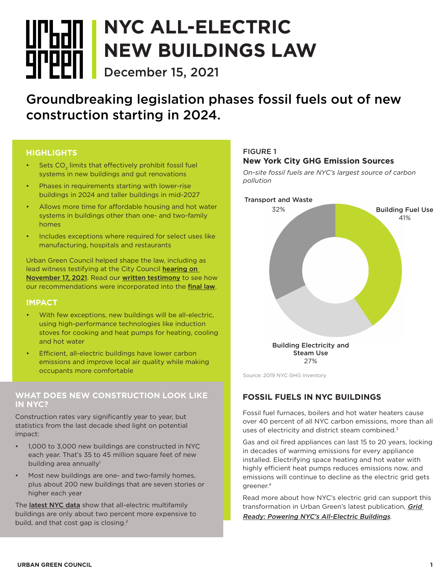# **NYC ALL-ELECTRIC**  <u>Urban </u> **NEW BUILDINGS LAW Arppn December 15, 2021**

Groundbreaking legislation phases fossil fuels out of new construction starting in 2024.

## **HIGHLIGHTS**

- Sets CO<sub>2</sub> limits that effectively prohibit fossil fuel systems in new buildings and gut renovations
- Phases in requirements starting with lower-rise buildings in 2024 and taller buildings in mid-2027
- Allows more time for affordable housing and hot water systems in buildings other than one- and two-family homes
- Includes exceptions where required for select uses like manufacturing, hospitals and restaurants

Urban Green Council helped shape the law, including as lead witness testifying at the City Council hearing on [November 17, 2021](https://legistar.council.nyc.gov/MeetingDetail.aspx?ID=901384&GUID=9041DC88-8813-459B-8B57-60259ECB283C&Options=ID%7CText%7C&Search=2317). Read our [written testimony](https://www.urbangreencouncil.org/sites/default/files/211117_ugc_testimony_re_int_2317.pdf) to see how our recommendations were incorporated into the [final law](https://legistar.council.nyc.gov/LegislationDetail.aspx?ID=4966519&GUID=714F1B3D-876F-4C4F-A1BC-A2849D60D55A&Options=ID%7CText%7C&Search=combustion).

#### **IMPACT**

- With few exceptions, new buildings will be all-electric, using high-performance technologies like induction stoves for cooking and heat pumps for heating, cooling and hot water
- Efficient, all-electric buildings have lower carbon emissions and improve local air quality while making occupants more comfortable

#### **WHAT DOES NEW CONSTRUCTION LOOK LIKE IN NYC?**

Construction rates vary significantly year to year, but statistics from the last decade shed light on potential impact:

- 1,000 to 3,000 new buildings are constructed in NYC each year. That's 35 to 45 million square feet of new building area annually<sup>1</sup>
- Most new buildings are one- and two-family homes, plus about 200 new buildings that are seven stories or higher each year

The [latest NYC data](https://www.urbangreencouncil.org/content/news/low-carbon-buildings-excellence-coming-neighborhood-near-you) show that all-electric multifamily buildings are only about two percent more expensive to build, and that cost gap is closing.<sup>2</sup>

## FIGURE 1 **New York City GHG Emission Sources**

*On-site fossil fuels are NYC's largest source of carbon pollution*



Source: 2019 NYC GHG Inventory

# **FOSSIL FUELS IN NYC BUILDINGS**

Fossil fuel furnaces, boilers and hot water heaters cause over 40 percent of all NYC carbon emissions, more than all uses of electricity and district steam combined.<sup>3</sup>

Gas and oil fired appliances can last 15 to 20 years, locking in decades of warming emissions for every appliance installed. Electrifying space heating and hot water with highly efficient heat pumps reduces emissions now, and emissions will continue to decline as the electric grid gets greener.4

Read more about how NYC's electric grid can support this transformation in Urban Green's latest publication, Grid [Ready: Powering NYC's All-Electric Buildings](https://www.urbangreencouncil.org/content/projects/grid-ready?utm_source=Newsletter&utm_campaign=cf002a5e0e-EMAIL_CAMPAIGN_2018_11_21_06_45_COPY_01&utm_medium=email&utm_term=0_77e1c68116-cf002a5e0e-82284406).